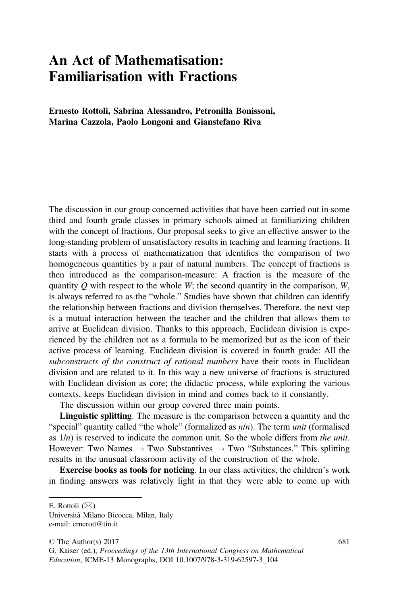## An Act of Mathematisation: Familiarisation with Fractions

Ernesto Rottoli, Sabrina Alessandro, Petronilla Bonissoni, Marina Cazzola, Paolo Longoni and Gianstefano Riva

The discussion in our group concerned activities that have been carried out in some third and fourth grade classes in primary schools aimed at familiarizing children with the concept of fractions. Our proposal seeks to give an effective answer to the long-standing problem of unsatisfactory results in teaching and learning fractions. It starts with a process of mathematization that identifies the comparison of two homogeneous quantities by a pair of natural numbers. The concept of fractions is then introduced as the comparison-measure: A fraction is the measure of the quantity  $Q$  with respect to the whole  $W$ ; the second quantity in the comparison,  $W$ , is always referred to as the "whole." Studies have shown that children can identify the relationship between fractions and division themselves. Therefore, the next step is a mutual interaction between the teacher and the children that allows them to arrive at Euclidean division. Thanks to this approach, Euclidean division is experienced by the children not as a formula to be memorized but as the icon of their active process of learning. Euclidean division is covered in fourth grade: All the subconstructs of the construct of rational numbers have their roots in Euclidean division and are related to it. In this way a new universe of fractions is structured with Euclidean division as core; the didactic process, while exploring the various contexts, keeps Euclidean division in mind and comes back to it constantly.

The discussion within our group covered three main points.

Linguistic splitting. The measure is the comparison between a quantity and the "special" quantity called "the whole" (formalized as  $n/n$ ). The term *unit* (formalised as  $1/n$ ) is reserved to indicate the common unit. So the whole differs from the unit. However: Two Names  $\rightarrow$  Two Substantives  $\rightarrow$  Two "Substances." This splitting results in the unusual classroom activity of the construction of the whole.

Exercise books as tools for noticing. In our class activities, the children's work in finding answers was relatively light in that they were able to come up with

E. Rottoli  $(\boxtimes)$ 

Università Milano Bicocca, Milan, Italy e-mail: ernerott@tin.it

<sup>©</sup> The Author(s) 2017

G. Kaiser (ed.), Proceedings of the 13th International Congress on Mathematical Education, ICME-13 Monographs, DOI 10.1007/978-3-319-62597-3\_104